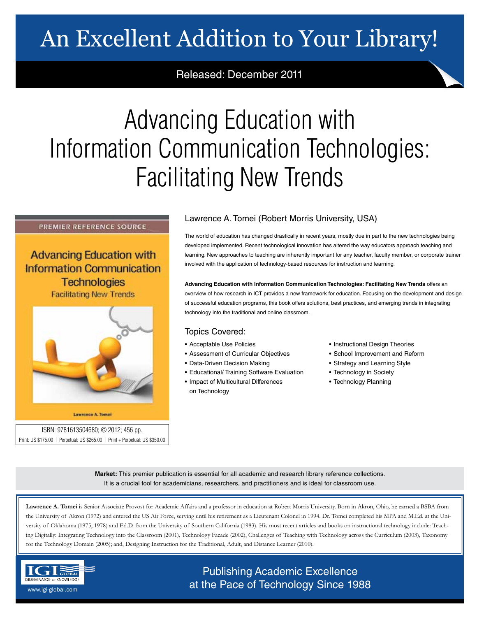# An Excellent Addition to Your Library!

Released: December 2011

# Advancing Education with Information Communication Technologies: Facilitating New Trends

### PREMIER REFERENCE SOURCE

**Advancing Education with Information Communication Technologies** 

**Facilitating New Trends** 



#### Lawrence A. Tomoi

ISBN: 9781613504680; © 2012; 456 pp. Print: US \$175.00 | Perpetual: US \$265.00 | Print + Perpetual: US \$350.00

## Lawrence A. Tomei (Robert Morris University, USA)

The world of education has changed drastically in recent years, mostly due in part to the new technologies being developed implemented. Recent technological innovation has altered the way educators approach teaching and learning. New approaches to teaching are inherently important for any teacher, faculty member, or corporate trainer involved with the application of technology-based resources for instruction and learning.

**Advancing Education with Information Communication Technologies: Facilitating New Trends** offers an overview of how research in ICT provides a new framework for education. Focusing on the development and design of successful education programs, this book offers solutions, best practices, and emerging trends in integrating technology into the traditional and online classroom.

### Topics Covered:

- Acceptable Use Policies
- Assessment of Curricular Objectives
- Data-Driven Decision Making
- Educational/ Training Software Evaluation
- Impact of Multicultural Differences on Technology
- Instructional Design Theories
- School Improvement and Reform
- Strategy and Learning Style
- Technology in Society
- Technology Planning

**Market:** This premier publication is essential for all academic and research library reference collections. It is a crucial tool for academicians, researchers, and practitioners and is ideal for classroom use.

**Lawrence A. Tomei** is Senior Associate Provost for Academic Affairs and a professor in education at Robert Morris University. Born in Akron, Ohio, he earned a BSBA from the University of Akron (1972) and entered the US Air Force, serving until his retirement as a Lieutenant Colonel in 1994. Dr. Tomei completed his MPA and M.Ed. at the University of Oklahoma (1975, 1978) and Ed.D. from the University of Southern California (1983). His most recent articles and books on instructional technology include: Teaching Digitally: Integrating Technology into the Classroom (2001), Technology Facade (2002), Challenges of Teaching with Technology across the Curriculum (2003), Taxonomy for the Technology Domain (2005); and, Designing Instruction for the Traditional, Adult, and Distance Learner (2010).



# Publishing Academic Excellence **ALSEMINATOR OF KNOWLEDGE CONCEDUTE CONCEDUTE CONCEDUTE CONCEDUTE CONCEDUTE CONCEDUTE CONCEDUTE CONCEDUTE CONCE**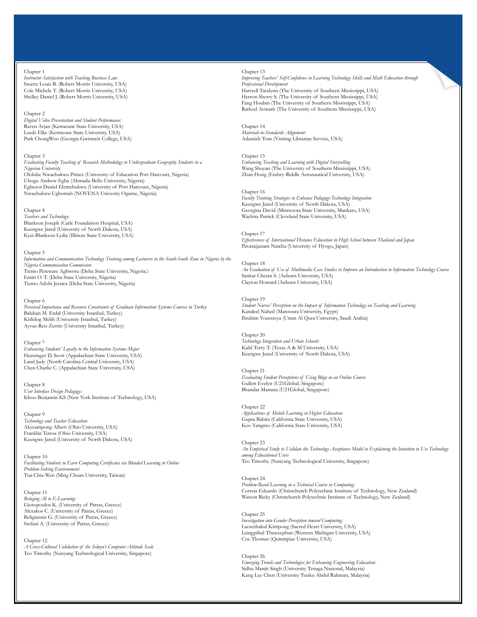#### Chapter 1

*Instructor Satisfaction with Teaching Business Law:* Swartz Louis B. (Robert Morris University, USA) Cole Michele T. (Robert Morris University, USA) Shelley Daniel J. (Robert Morris University, USA)

#### Chapter 2

*Digital Video Presentation and Student Performance:* Raven Arjan (Kennesaw State University, USA) Leeds Elke (Kennesaw State University, USA) Park ChongWoo (Georgia Gwinnett College, USA)

#### Chapter 3

*Evaluating Faculty Teaching of Research Methodology to Undergraduate Geography Students in a Nigerian University* Ololube Nwachukwu Prince (University of Education Port Harcourt, Nigeria) Ubogu Andrew Egba (Ahmadu Bello University, Nigeria) Egbezor Daniel Elemchukwu (University of Port Harcourt, Nigeria) Nwachukwu Ugbomah (NOVENA Univesity Ogume, Nigeria)

#### Chapter 4

*Teachers and Technology:* Blankson Joseph (Carle Foundation Hospital, USA) Keengwe Jared (University of North Dakota, USA) Kyei-Blankson Lydia (Illinois State University, USA)

#### Chapter 5

*Information and Communication Technology Training among Lecturers in the South-South Zone in Nigeria by the Nigeria Communication Commission* Tiemo Pereware Aghwotu (Delta State University, Nigeria.) Emiri O. T. (Delta State University, Nigeria) Tiemo Adobi Jessica (Delta State University, Nigeria)

#### Chapter 6

*Perceived Importance and Resource Constraints of Graduate Information Systems Courses in Turkey* Balaban M. Erdal (University Istanbul, Turkey) Kirlidog Melih (University Istanbul, Turkey) Ayvaz-Reis Zerrin (University Istanbul, Turkey)

#### Chapter 7

*Enhancing Students' Loyalty to the Information Systems Major* Hunsinger D. Scott (Appalachian State University, USA) Land Judy (North Carolina Central University, USA) Chen Charlie C. (Appalachian State University, USA)

Chapter 8 *User Interface Design Pedagogy:* Khoo Benjamin KS (New York Institute of Technology, USA)

#### Chapter 9

*Technology and Teacher Education:* Akyeampong Albert (Ohio University, USA) Franklin Teresa (Ohio University, USA) Keengwe Jared (University of North Dakota, USA)

Chapter 10 *Facilitating Students to Earn Computing Certificates via Blended Learning in Online Problem-Solving Environment:* Tsai Chia-Wen (Ming Chuan University, Taiwan)

Chapter 11 *Bringing AI to E-Learning:* Giotopoulos K. (University of Patras, Greece) Alexakos C. (University of Patras, Greece) Beligiannis G. (University of Patras, Greece) Stefani A. (University of Patras, Greece)

Chapter 12 *A Cross-Cultural Validation of the Selwyn's Computer Attitude Scale* Teo Timothy (Nanyang Technological University, Singapore)

#### Chapter 13

*Improving Teachers' Self-Confidence in Learning Technology Skills and Math Education through Professional Development* Hartsell Taralynn (The University of Southern Mississippi, USA) Herron Sherry S. (The University of Southern Mississippi, USA) Fang Houbin (The University of Southern Mississippi, USA) Rathod Avinash (The University of Southern Mississippi, USA)

Chapter 14 *Materials-to-Standards Alignment:*  Adamich Tom (Visiting Librarian Service, USA)

#### Chapter 15

*Enhancing Teaching and Learning with Digital Storytelling* Wang Shuyan (The University of Southern Mississippi, USA) Zhan Hong (Embry-Riddle Aeronautical University, USA)

Chapter 16

*Faculty Training Strategies to Enhance Pedagogy-Technology Integration* Keengwe Jared (University of North Dakota, USA) Georgina David (Minnesota State University, Mankato, USA) Wachira Patrick (Cleveland State University, USA)

### Chapter 17

*Effectiveness of International Distance Education in High School between Thailand and Japan* Pavasajjanant Natcha (University of Hyogo, Japan)

Chapter 18 *An Evaluation of Use of Multimedia Case Studies to Improve an Introduction to Information Technology Course* Sankar Chetan S. (Auburn University, USA) Clayton Howard (Auburn University, USA)

#### Chapter 19

*Student Nurses' Perception on the Impact of Information Technology on Teaching and Learning* Kandeel Nahed (Mansoura University, Egypt) Ibrahim Youssreya (Umm Al Qura University, Saudi Arabia)

#### Chapter 20

*Technology Integration and Urban Schools:* Kidd Terry T. (Texas A & M University, USA) Keengwe Jared (University of North Dakota, USA)

Chapter 21 *Evaluating Student Perceptions of Using Blogs in an Online Course* Gullett Evelyn (U21Global, Singapore) Bhandar Mamata (U21Global, Singapore)

#### Chapter 22

*Applications of Mobile Learning in Higher Education:* Gupta Babita (California State University, USA) Koo Yangmo (California State University, USA)

Chapter 23 *An Empirical Study to Validate the Technology Acceptance Model in Explaining the Intention to Use Technology among Educational Users* Teo Timothy (Nanyang Technological University, Singapore)

#### Chapter 24

*Problem-Based Learning in a Technical Course in Computing:* Correia Eduardo (Christchurch Polytechnic Institute of Technology, New Zealand) Watson Ricky (Christchurch Polytechnic Institute of Technology, New Zealand)

#### Chapter 25

*Investigation into Gender Perception toward Computing:* Laosethakul Kittipong (Sacred Heart University, USA) Leingpibul Thaweephan (Western Michigan University, USA) Coe Thomas (Quinnipiac University, USA)

#### Chapter 26

*Emerging Trends and Technologies for Enhancing Engineering Education:* Sidhu Manjit Singh (University Tenaga Nasional, Malaysia) Kang Lee Chen (University Tunku Abdul Rahman, Malaysia)